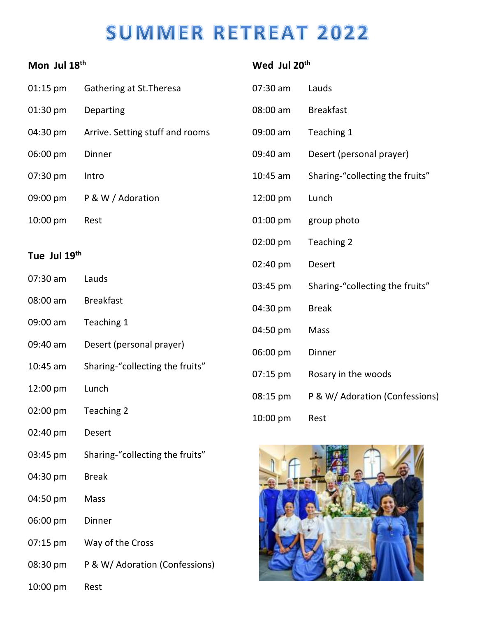## **SUMMER RETREAT 2022**

| Mon Jul 18th |                                 | Wed Jul 20 <sup>th</sup> |                                 |
|--------------|---------------------------------|--------------------------|---------------------------------|
| 01:15 pm     | Gathering at St. Theresa        | 07:30 am                 | Lauds                           |
| 01:30 pm     | Departing                       | 08:00 am                 | <b>Breakfast</b>                |
| 04:30 pm     | Arrive. Setting stuff and rooms | 09:00 am                 | Teaching 1                      |
| 06:00 pm     | Dinner                          | 09:40 am                 | Desert (personal prayer)        |
| 07:30 pm     | Intro                           | $10:45$ am               | Sharing-"collecting the fruits" |
| 09:00 pm     | P & W / Adoration               | 12:00 pm                 | Lunch                           |
| 10:00 pm     | Rest                            | 01:00 pm                 | group photo                     |
|              |                                 | 02:00 pm                 | Teaching 2                      |
| Tue Jul 19th |                                 | 02:40 pm                 | Desert                          |
| 07:30 am     | Lauds                           | 03:45 pm                 | Sharing-"collecting the fruits" |
| 08:00 am     | <b>Breakfast</b>                | 04:30 pm                 | <b>Break</b>                    |
| 09:00 am     | Teaching 1                      | 04:50 pm                 | Mass                            |
| 09:40 am     | Desert (personal prayer)        | 06:00 pm                 | Dinner                          |
| $10:45$ am   | Sharing-"collecting the fruits" | $07:15 \text{ pm}$       | Rosary in the woods             |
| 12:00 pm     | Lunch                           | 08:15 pm                 | P & W/ Adoration (Confessions)  |
| 02:00 pm     | Teaching 2                      | 10:00 pm                 | Rest                            |
| 02:40 pm     | <b>Desert</b>                   |                          |                                 |
| 03:45 pm     | Sharing-"collecting the fruits" |                          |                                 |
| 04:30 pm     | <b>Break</b>                    |                          |                                 |
| 04:50 pm     | Mass                            |                          |                                 |
| 06:00 pm     | Dinner                          |                          |                                 |
| 07:15 pm     | Way of the Cross                |                          |                                 |
| 08:30 pm     | P & W/ Adoration (Confessions)  |                          |                                 |

**The Company of the Company of the Company of the Company of the Company of The Company of The Company of The Company of The Company of The Company of The Company of The Company of The Company of The Company of The Company** 

10:00 pm Rest